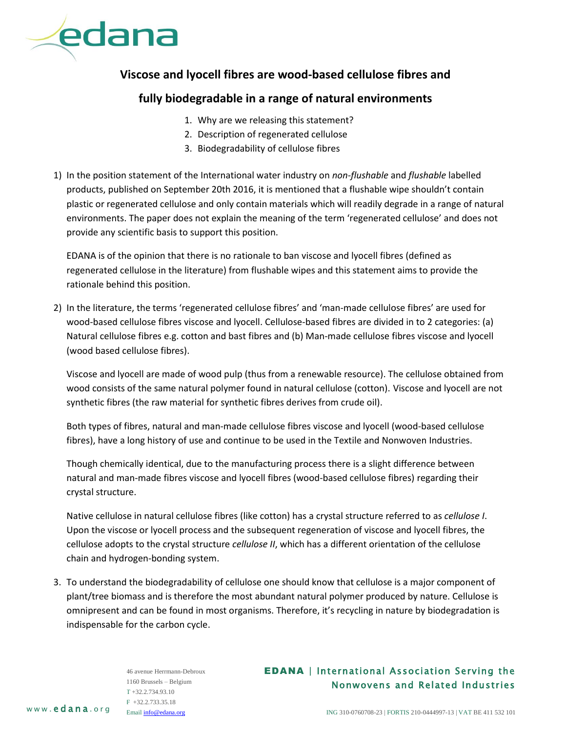

## **Viscose and lyocell fibres are wood-based cellulose fibres and**

## **fully biodegradable in a range of natural environments**

- 1. Why are we releasing this statement?
- 2. Description of regenerated cellulose
- 3. Biodegradability of cellulose fibres
- 1) In the position statement of the International water industry on *non-flushable* and *flushable* labelled products, published on September 20th 2016, it is mentioned that a flushable wipe shouldn't contain plastic or regenerated cellulose and only contain materials which will readily degrade in a range of natural environments. The paper does not explain the meaning of the term 'regenerated cellulose' and does not provide any scientific basis to support this position.

EDANA is of the opinion that there is no rationale to ban viscose and lyocell fibres (defined as regenerated cellulose in the literature) from flushable wipes and this statement aims to provide the rationale behind this position.

2) In the literature, the terms 'regenerated cellulose fibres' and 'man-made cellulose fibres' are used for wood-based cellulose fibres viscose and lyocell. Cellulose-based fibres are divided in to 2 categories: (a) Natural cellulose fibres e.g. cotton and bast fibres and (b) Man-made cellulose fibres viscose and lyocell (wood based cellulose fibres).

Viscose and lyocell are made of wood pulp (thus from a renewable resource). The cellulose obtained from wood consists of the same natural polymer found in natural cellulose (cotton). Viscose and lyocell are not synthetic fibres (the raw material for synthetic fibres derives from crude oil).

Both types of fibres, natural and man-made cellulose fibres viscose and lyocell (wood-based cellulose fibres), have a long history of use and continue to be used in the Textile and Nonwoven Industries.

Though chemically identical, due to the manufacturing process there is a slight difference between natural and man-made fibres viscose and lyocell fibres (wood-based cellulose fibres) regarding their crystal structure.

Native cellulose in natural cellulose fibres (like cotton) has a crystal structure referred to as *cellulose I*. Upon the viscose or lyocell process and the subsequent regeneration of viscose and lyocell fibres, the cellulose adopts to the crystal structure *cellulose II*, which has a different orientation of the cellulose chain and hydrogen-bonding system.

3. To understand the biodegradability of cellulose one should know that cellulose is a major component of plant/tree biomass and is therefore the most abundant natural polymer produced by nature. Cellulose is omnipresent and can be found in most organisms. Therefore, it's recycling in nature by biodegradation is indispensable for the carbon cycle.

> 46 avenue Herrmann-Debroux 1160 Brussels – Belgium T +32.2.734.93.10 F +32.2.733.35.18 Emai[l info@edana.org](mailto:info@edana.org)

## EDANA | International Association Serving the Nonwovens and Related Industries